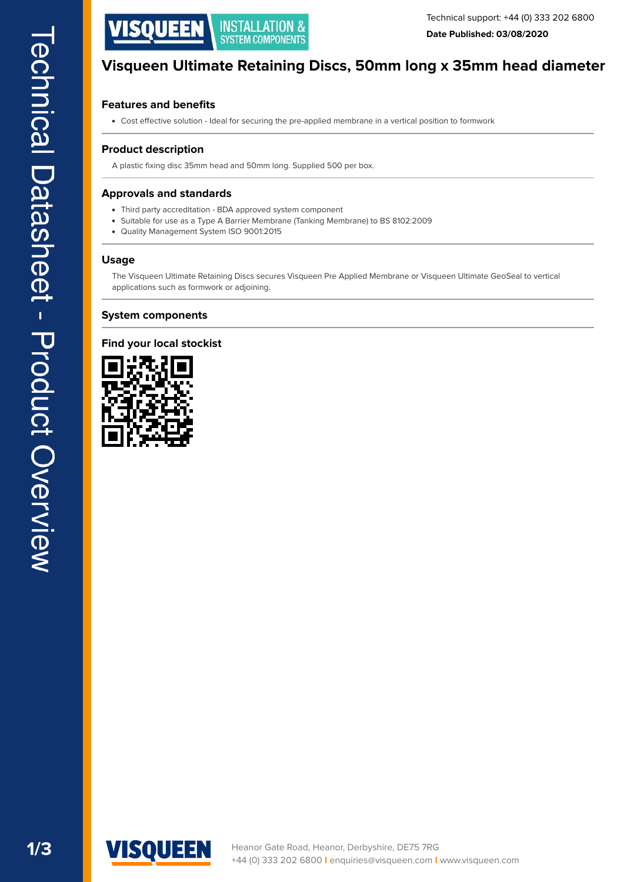

# **Visqueen Ultimate Retaining Discs, 50mm long x 35mm head diameter**

## **Features and benefits**

Cost efective solution - Ideal for securing the pre-applied membrane in a vertical position to formwork

### **Product description**

A plastic fixing disc 35mm head and 50mm long. Supplied 500 per box.

## **Approvals and standards**

- Third party accreditation BDA approved system component
- Suitable for use as a Type A Barrier Membrane (Tanking Membrane) to BS 8102:2009
- Quality Management System ISO 9001:2015

#### **Usage**

The Visqueen Ultimate Retaining Discs secures Visqueen Pre Applied Membrane or Visqueen Ultimate GeoSeal to vertical applications such as formwork or adjoining.

#### **System components**

#### **Find your local stockist**



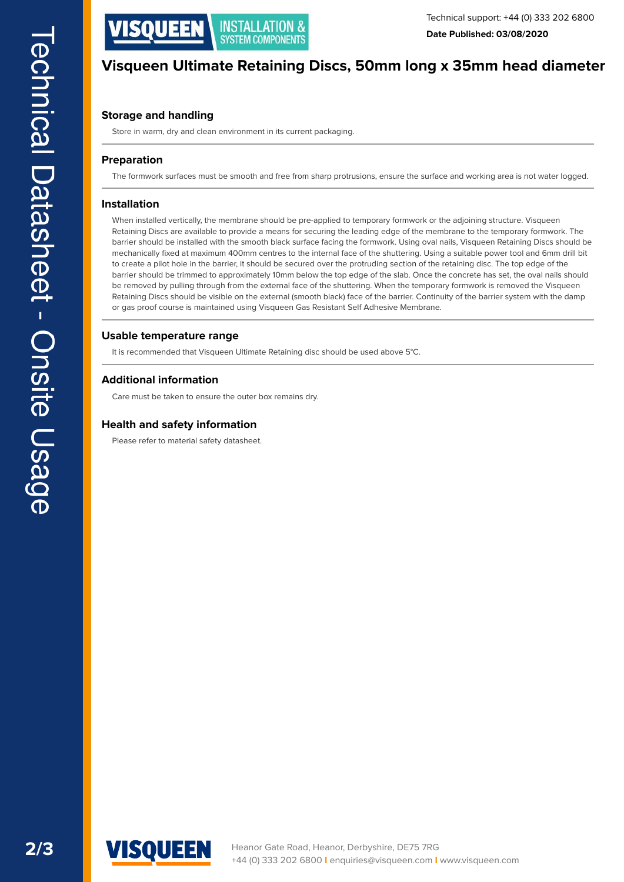

## **Visqueen Ultimate Retaining Discs, 50mm long x 35mm head diameter**

## **Storage and handling**

Store in warm, dry and clean environment in its current packaging.

#### **Preparation**

The formwork surfaces must be smooth and free from sharp protrusions, ensure the surface and working area is not water logged.

#### **Installation**

When installed vertically, the membrane should be pre-applied to temporary formwork or the adjoining structure. Visqueen Retaining Discs are available to provide a means for securing the leading edge of the membrane to the temporary formwork. The barrier should be installed with the smooth black surface facing the formwork. Using oval nails, Visqueen Retaining Discs should be mechanically fxed at maximum 400mm centres to the internal face of the shuttering. Using a suitable power tool and 6mm drill bit to create a pilot hole in the barrier, it should be secured over the protruding section of the retaining disc. The top edge of the barrier should be trimmed to approximately 10mm below the top edge of the slab. Once the concrete has set, the oval nails should be removed by pulling through from the external face of the shuttering. When the temporary formwork is removed the Visqueen Retaining Discs should be visible on the external (smooth black) face of the barrier. Continuity of the barrier system with the damp or gas proof course is maintained using Visqueen Gas Resistant Self Adhesive Membrane.

#### **Usable temperature range**

It is recommended that Visqueen Ultimate Retaining disc should be used above 5°C.

#### **Additional information**

Care must be taken to ensure the outer box remains dry.

#### **Health and safety information**

Please refer to material safety datasheet.